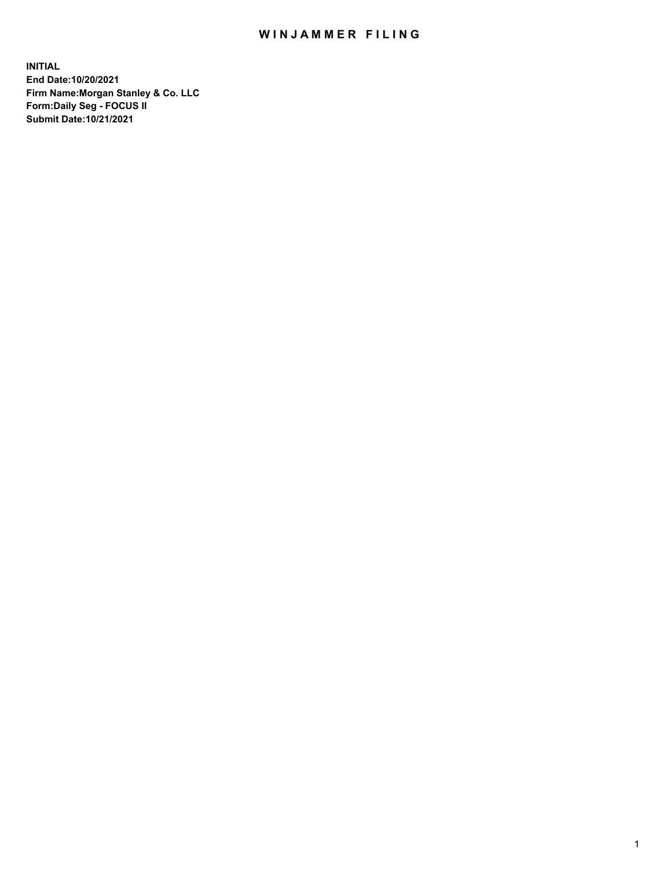## WIN JAMMER FILING

**INITIAL End Date:10/20/2021 Firm Name:Morgan Stanley & Co. LLC Form:Daily Seg - FOCUS II Submit Date:10/21/2021**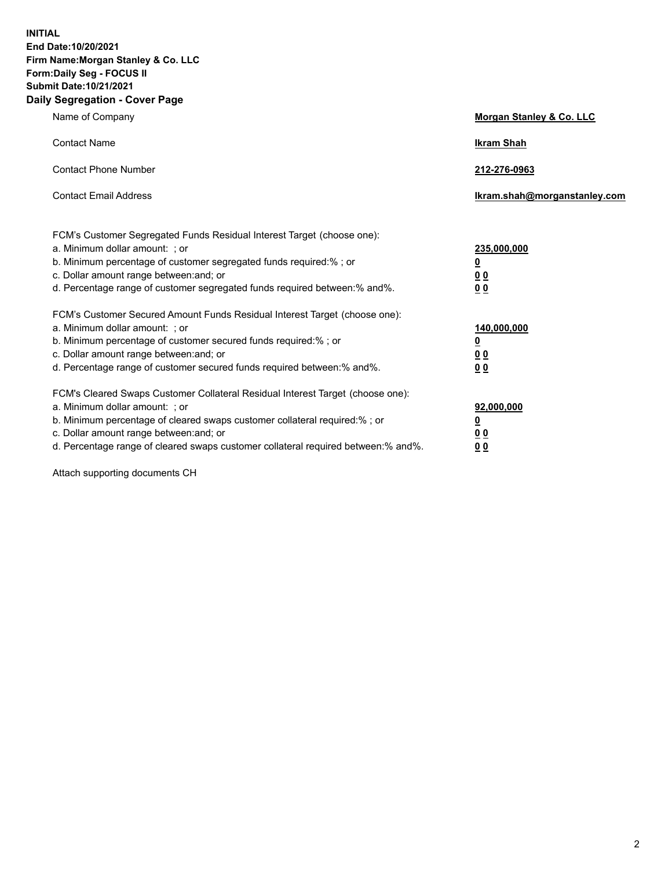**INITIAL End Date:10/20/2021 Firm Name:Morgan Stanley & Co. LLC Form:Daily Seg - FOCUS II Submit Date:10/21/2021 Daily Segregation - Cover Page**

| Name of Company                                                                                                                                                                                                                                                                                                                | <b>Morgan Stanley &amp; Co. LLC</b>                    |
|--------------------------------------------------------------------------------------------------------------------------------------------------------------------------------------------------------------------------------------------------------------------------------------------------------------------------------|--------------------------------------------------------|
| <b>Contact Name</b>                                                                                                                                                                                                                                                                                                            | <b>Ikram Shah</b>                                      |
| <b>Contact Phone Number</b>                                                                                                                                                                                                                                                                                                    | 212-276-0963                                           |
| <b>Contact Email Address</b>                                                                                                                                                                                                                                                                                                   | Ikram.shah@morganstanley.com                           |
| FCM's Customer Segregated Funds Residual Interest Target (choose one):<br>a. Minimum dollar amount: ; or<br>b. Minimum percentage of customer segregated funds required:% ; or<br>c. Dollar amount range between: and; or<br>d. Percentage range of customer segregated funds required between: % and %.                       | 235,000,000<br><u>0</u><br>00<br>0 Q                   |
| FCM's Customer Secured Amount Funds Residual Interest Target (choose one):<br>a. Minimum dollar amount: ; or<br>b. Minimum percentage of customer secured funds required:% ; or<br>c. Dollar amount range between: and; or<br>d. Percentage range of customer secured funds required between:% and%.                           | 140,000,000<br><u>0</u><br><u>00</u><br>0 <sub>0</sub> |
| FCM's Cleared Swaps Customer Collateral Residual Interest Target (choose one):<br>a. Minimum dollar amount: ; or<br>b. Minimum percentage of cleared swaps customer collateral required:% ; or<br>c. Dollar amount range between: and; or<br>d. Percentage range of cleared swaps customer collateral required between:% and%. | 92,000,000<br><u>0</u><br><u>00</u><br>0 <sub>0</sub>  |

Attach supporting documents CH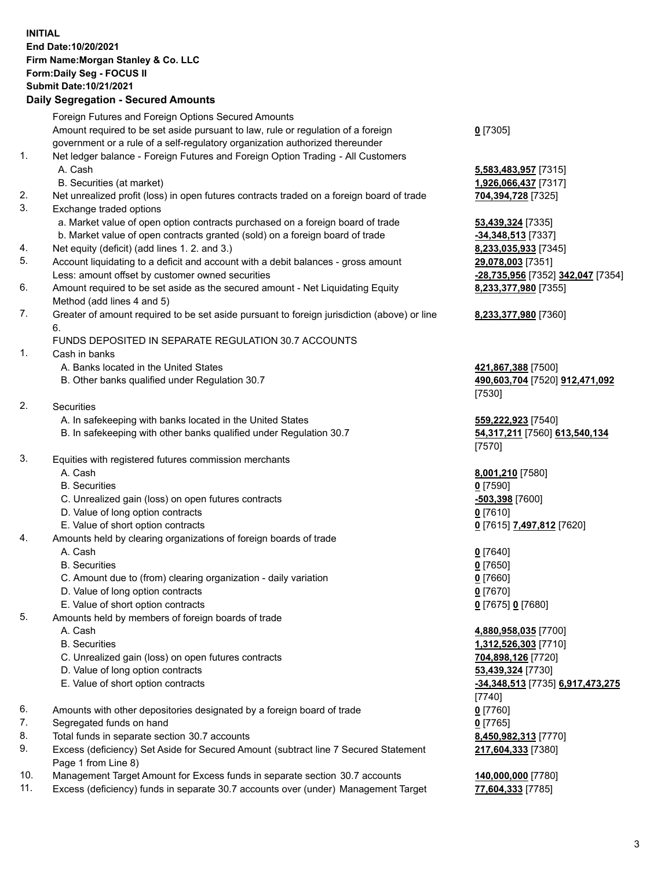## **INITIAL End Date:10/20/2021 Firm Name:Morgan Stanley & Co. LLC Form:Daily Seg - FOCUS II Submit Date:10/21/2021**

## **Daily Segregation - Secured Amounts**

|    | Foreign Futures and Foreign Options Secured Amounts                                               |                                                             |
|----|---------------------------------------------------------------------------------------------------|-------------------------------------------------------------|
|    | Amount required to be set aside pursuant to law, rule or regulation of a foreign                  | $0$ [7305]                                                  |
|    | government or a rule of a self-regulatory organization authorized thereunder                      |                                                             |
| 1. | Net ledger balance - Foreign Futures and Foreign Option Trading - All Customers                   |                                                             |
|    | A. Cash                                                                                           | 5,583,483,957 [7315]                                        |
|    | B. Securities (at market)                                                                         | 1,926,066,437 [7317]                                        |
| 2. | Net unrealized profit (loss) in open futures contracts traded on a foreign board of trade         | 704,394,728 [7325]                                          |
| 3. | Exchange traded options                                                                           |                                                             |
|    | a. Market value of open option contracts purchased on a foreign board of trade                    | 53,439,324 [7335]                                           |
|    | b. Market value of open contracts granted (sold) on a foreign board of trade                      | -34,348,513 [7337]                                          |
| 4. | Net equity (deficit) (add lines 1. 2. and 3.)                                                     | 8,233,035,933 [7345]                                        |
| 5. | Account liquidating to a deficit and account with a debit balances - gross amount                 | 29,078,003 [7351]                                           |
|    | Less: amount offset by customer owned securities                                                  | <mark>-28,735,956</mark> [7352] <mark>342,047</mark> [7354] |
| 6. | Amount required to be set aside as the secured amount - Net Liquidating Equity                    | 8,233,377,980 [7355]                                        |
|    | Method (add lines 4 and 5)                                                                        |                                                             |
| 7. | Greater of amount required to be set aside pursuant to foreign jurisdiction (above) or line<br>6. | 8,233,377,980 [7360]                                        |
|    | FUNDS DEPOSITED IN SEPARATE REGULATION 30.7 ACCOUNTS                                              |                                                             |
| 1. | Cash in banks                                                                                     |                                                             |
|    | A. Banks located in the United States                                                             | 421,867,388 [7500]                                          |
|    | B. Other banks qualified under Regulation 30.7                                                    | 490,603,704 [7520] 912,471,092                              |
|    |                                                                                                   | [7530]                                                      |
| 2. | Securities                                                                                        |                                                             |
|    | A. In safekeeping with banks located in the United States                                         | 559,222,923 [7540]                                          |
|    | B. In safekeeping with other banks qualified under Regulation 30.7                                | 54,317,211 [7560] 613,540,134<br>[7570]                     |
| 3. | Equities with registered futures commission merchants                                             |                                                             |
|    | A. Cash                                                                                           | 8,001,210 [7580]                                            |
|    | <b>B.</b> Securities                                                                              | $0$ [7590]                                                  |
|    | C. Unrealized gain (loss) on open futures contracts                                               | -503,398 [7600]                                             |
|    | D. Value of long option contracts                                                                 | $0$ [7610]                                                  |
|    | E. Value of short option contracts                                                                | 0 [7615] 7,497,812 [7620]                                   |
| 4. | Amounts held by clearing organizations of foreign boards of trade                                 |                                                             |
|    | A. Cash                                                                                           | $0$ [7640]                                                  |
|    | <b>B.</b> Securities                                                                              | $0$ [7650]                                                  |
|    | C. Amount due to (from) clearing organization - daily variation                                   | $0$ [7660]                                                  |
|    | D. Value of long option contracts                                                                 | $0$ [7670]                                                  |
|    | E. Value of short option contracts                                                                | 0 [7675] 0 [7680]                                           |
| 5. | Amounts held by members of foreign boards of trade                                                |                                                             |
|    | A. Cash                                                                                           | 4,880,958,035 [7700]                                        |
|    | <b>B.</b> Securities                                                                              | 1,312,526,303 [7710]                                        |
|    | C. Unrealized gain (loss) on open futures contracts                                               | 704,898,126 [7720]                                          |
|    | D. Value of long option contracts                                                                 | 53,439,324 [7730]                                           |
|    | E. Value of short option contracts                                                                | -34,348,513 [7735] 6,917,473,275                            |
|    |                                                                                                   | [7740]                                                      |
| 6. | Amounts with other depositories designated by a foreign board of trade                            | 0 [7760]                                                    |
| 7. | Segregated funds on hand                                                                          | $0$ [7765]                                                  |
| 8. | Total funds in separate section 30.7 accounts                                                     | 8,450,982,313 [7770]                                        |
| 9. | Excess (deficiency) Set Aside for Secured Amount (subtract line 7 Secured Statement               | 217,604,333 [7380]                                          |
|    | Page 1 from Line 8)                                                                               |                                                             |

- 10. Management Target Amount for Excess funds in separate section 30.7 accounts **140,000,000** [7780]
- 11. Excess (deficiency) funds in separate 30.7 accounts over (under) Management Target **77,604,333** [7785]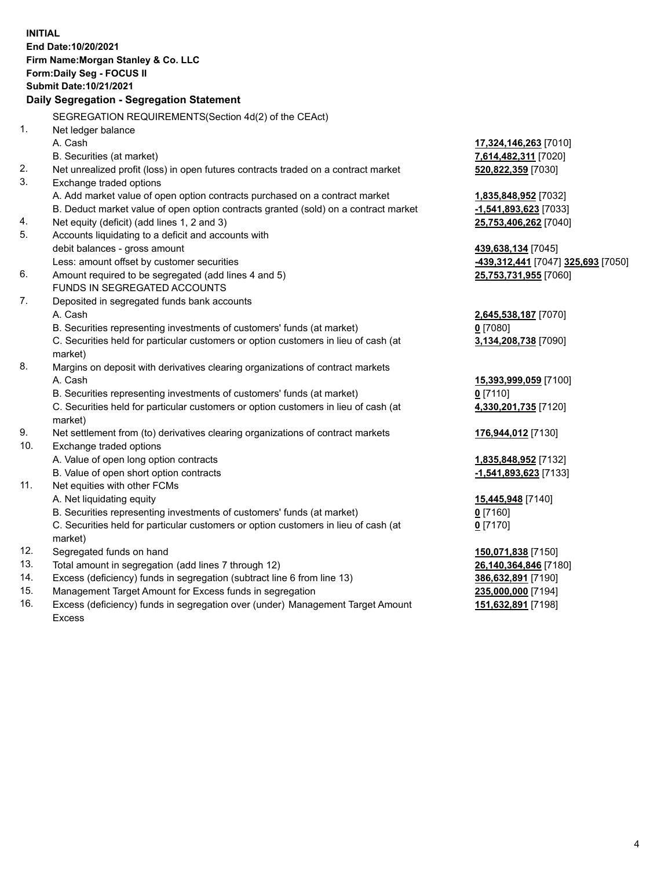**INITIAL End Date:10/20/2021 Firm Name:Morgan Stanley & Co. LLC Form:Daily Seg - FOCUS II Submit Date:10/21/2021 Daily Segregation - Segregation Statement** SEGREGATION REQUIREMENTS(Section 4d(2) of the CEAct) 1. Net ledger balance A. Cash **17,324,146,263** [7010] B. Securities (at market) **7,614,482,311** [7020] 2. Net unrealized profit (loss) in open futures contracts traded on a contract market **520,822,359** [7030] 3. Exchange traded options A. Add market value of open option contracts purchased on a contract market **1,835,848,952** [7032] B. Deduct market value of open option contracts granted (sold) on a contract market **-1,541,893,623** [7033] 4. Net equity (deficit) (add lines 1, 2 and 3) **25,753,406,262** [7040] 5. Accounts liquidating to a deficit and accounts with debit balances - gross amount **439,638,134** [7045] Less: amount offset by customer securities **-439,312,441** [7047] **325,693** [7050] 6. Amount required to be segregated (add lines 4 and 5) **25,753,731,955** [7060] FUNDS IN SEGREGATED ACCOUNTS 7. Deposited in segregated funds bank accounts A. Cash **2,645,538,187** [7070] B. Securities representing investments of customers' funds (at market) **0** [7080] C. Securities held for particular customers or option customers in lieu of cash (at market) **3,134,208,738** [7090] 8. Margins on deposit with derivatives clearing organizations of contract markets A. Cash **15,393,999,059** [7100] B. Securities representing investments of customers' funds (at market) **0** [7110] C. Securities held for particular customers or option customers in lieu of cash (at market) **4,330,201,735** [7120] 9. Net settlement from (to) derivatives clearing organizations of contract markets **176,944,012** [7130] 10. Exchange traded options A. Value of open long option contracts **1,835,848,952** [7132] B. Value of open short option contracts **-1,541,893,623** [7133] 11. Net equities with other FCMs A. Net liquidating equity **15,445,948** [7140] B. Securities representing investments of customers' funds (at market) **0** [7160] C. Securities held for particular customers or option customers in lieu of cash (at market) **0** [7170] 12. Segregated funds on hand **150,071,838** [7150] 13. Total amount in segregation (add lines 7 through 12) **26,140,364,846** [7180] 14. Excess (deficiency) funds in segregation (subtract line 6 from line 13) **386,632,891** [7190] 15. Management Target Amount for Excess funds in segregation **235,000,000** [7194] 16. Excess (deficiency) funds in segregation over (under) Management Target Amount **151,632,891** [7198]

Excess